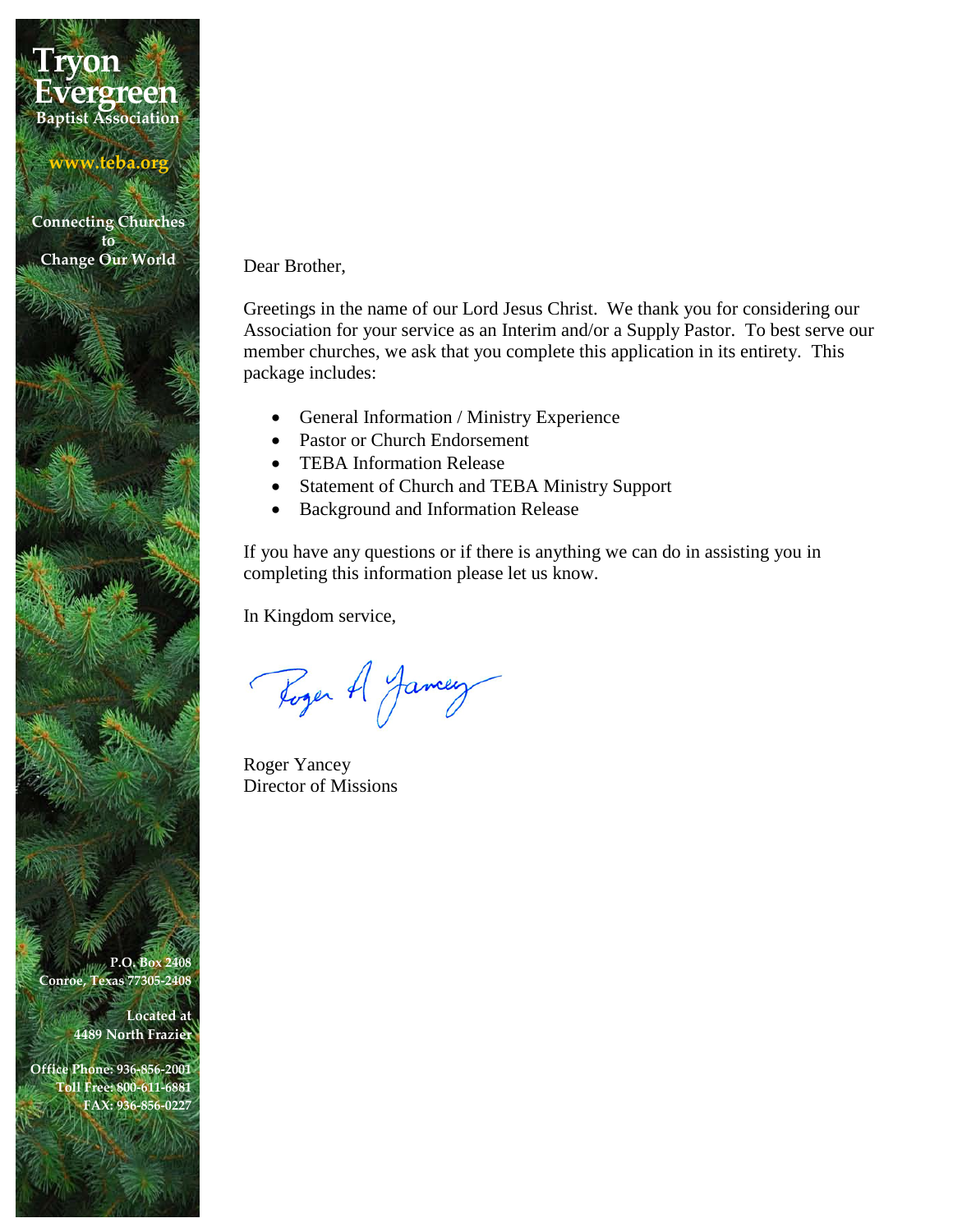## **Tryon Baptist Association Evergreen**

**www.teba.org**

**Connecting Churches to Change Our World**

Dear Brother,

Greetings in the name of our Lord Jesus Christ. We thank you for considering our Association for your service as an Interim and/or a Supply Pastor. To best serve our member churches, we ask that you complete this application in its entirety. This package includes:

- General Information / Ministry Experience
- Pastor or Church Endorsement
- TEBA Information Release
- Statement of Church and TEBA Ministry Support
- Background and Information Release

If you have any questions or if there is anything we can do in assisting you in completing this information please let us know.

In Kingdom service,

Roger A Jamey

Roger Yancey Director of Missions

**P.O. Box 2408 Conroe, Texas 77305-2408**

> **Located at 4489 North Frazier**

**Office Phone: 936-856-2001 Toll Free: 800-611-6881 FAX: 936-856-0227**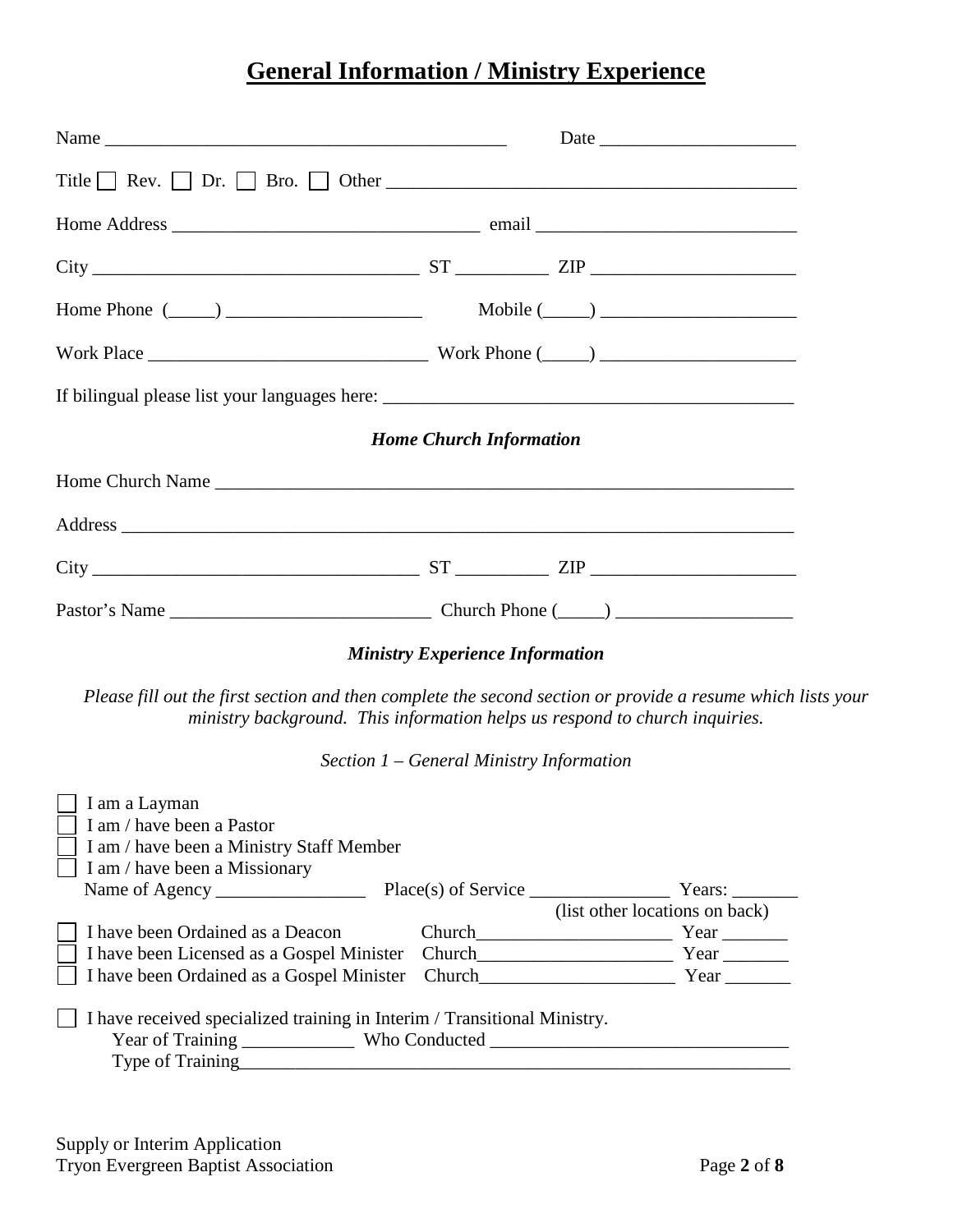## **General Information / Ministry Experience**

|                                                                                                                                                             | $City$ $ST$ $ZIP$ $ZIP$                                                                                                                                                                    |
|-------------------------------------------------------------------------------------------------------------------------------------------------------------|--------------------------------------------------------------------------------------------------------------------------------------------------------------------------------------------|
| Home Phone $(\_\_)$                                                                                                                                         | $\text{Mobile } (\_\_) \_\_$                                                                                                                                                               |
|                                                                                                                                                             |                                                                                                                                                                                            |
|                                                                                                                                                             |                                                                                                                                                                                            |
|                                                                                                                                                             | <b>Home Church Information</b>                                                                                                                                                             |
|                                                                                                                                                             |                                                                                                                                                                                            |
|                                                                                                                                                             |                                                                                                                                                                                            |
|                                                                                                                                                             |                                                                                                                                                                                            |
|                                                                                                                                                             |                                                                                                                                                                                            |
|                                                                                                                                                             | <b>Ministry Experience Information</b>                                                                                                                                                     |
|                                                                                                                                                             | Please fill out the first section and then complete the second section or provide a resume which lists your<br>ministry background. This information helps us respond to church inquiries. |
|                                                                                                                                                             | Section 1 – General Ministry Information                                                                                                                                                   |
| I am a Layman<br>I am / have been a Pastor<br>I am / have been a Ministry Staff Member<br>I am / have been a Missionary<br>I have been Ordained as a Deacon | (list other locations on back)<br>Church Year                                                                                                                                              |
| I have been Ordained as a Gospel Minister                                                                                                                   | Church Year                                                                                                                                                                                |
| I have received specialized training in Interim / Transitional Ministry.                                                                                    |                                                                                                                                                                                            |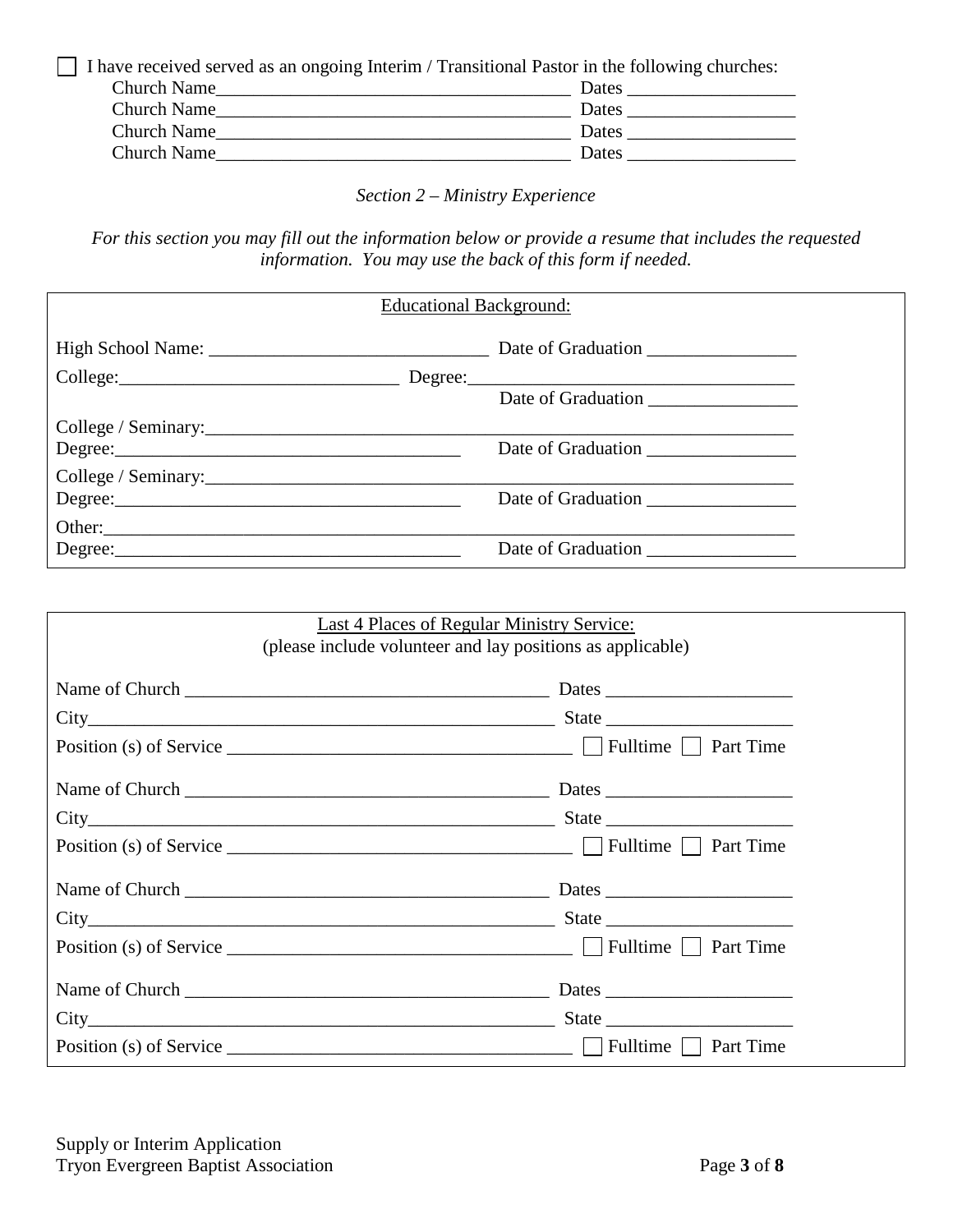$\Box$  I have received served as an ongoing Interim / Transitional Pastor in the following churches:

| <b>Church Name</b> | Dates |
|--------------------|-------|
| <b>Church Name</b> | Dates |
| <b>Church Name</b> | Dates |
| <b>Church Name</b> | Dates |

*Section 2 – Ministry Experience*

*For this section you may fill out the information below or provide a resume that includes the requested information. You may use the back of this form if needed.*

| <b>Educational Background:</b>                                                                                                                                       |                    |  |
|----------------------------------------------------------------------------------------------------------------------------------------------------------------------|--------------------|--|
|                                                                                                                                                                      |                    |  |
|                                                                                                                                                                      |                    |  |
|                                                                                                                                                                      | Date of Graduation |  |
| College / Seminary: $\frac{1}{2}$ Seminary:                                                                                                                          |                    |  |
| $Degree: \begin{tabular}{@{}c@{}} \hline \hline \multicolumn{3}{c}{\textbf{Degree:}} \hspace{1.0pt} \textbf{1} & \multicolumn{3}{c}{\textbf{Target:}} \end{tabular}$ |                    |  |
|                                                                                                                                                                      |                    |  |
|                                                                                                                                                                      |                    |  |
| Other:                                                                                                                                                               |                    |  |
|                                                                                                                                                                      |                    |  |

| Last 4 Places of Regular Ministry Service:<br>(please include volunteer and lay positions as applicable)                                                                                                                         |  |  |
|----------------------------------------------------------------------------------------------------------------------------------------------------------------------------------------------------------------------------------|--|--|
|                                                                                                                                                                                                                                  |  |  |
|                                                                                                                                                                                                                                  |  |  |
|                                                                                                                                                                                                                                  |  |  |
|                                                                                                                                                                                                                                  |  |  |
| $City$ State State                                                                                                                                                                                                               |  |  |
|                                                                                                                                                                                                                                  |  |  |
|                                                                                                                                                                                                                                  |  |  |
| $City$ State Section 2.1 State State State State State State State State State State State State State State State State State State State State State State State State State State State State State State State State State S |  |  |
|                                                                                                                                                                                                                                  |  |  |
|                                                                                                                                                                                                                                  |  |  |
| $City$ State Structure State State State State State State State State State State State State State State State State State State State State State State State State State State State State State State State State State Sta |  |  |
|                                                                                                                                                                                                                                  |  |  |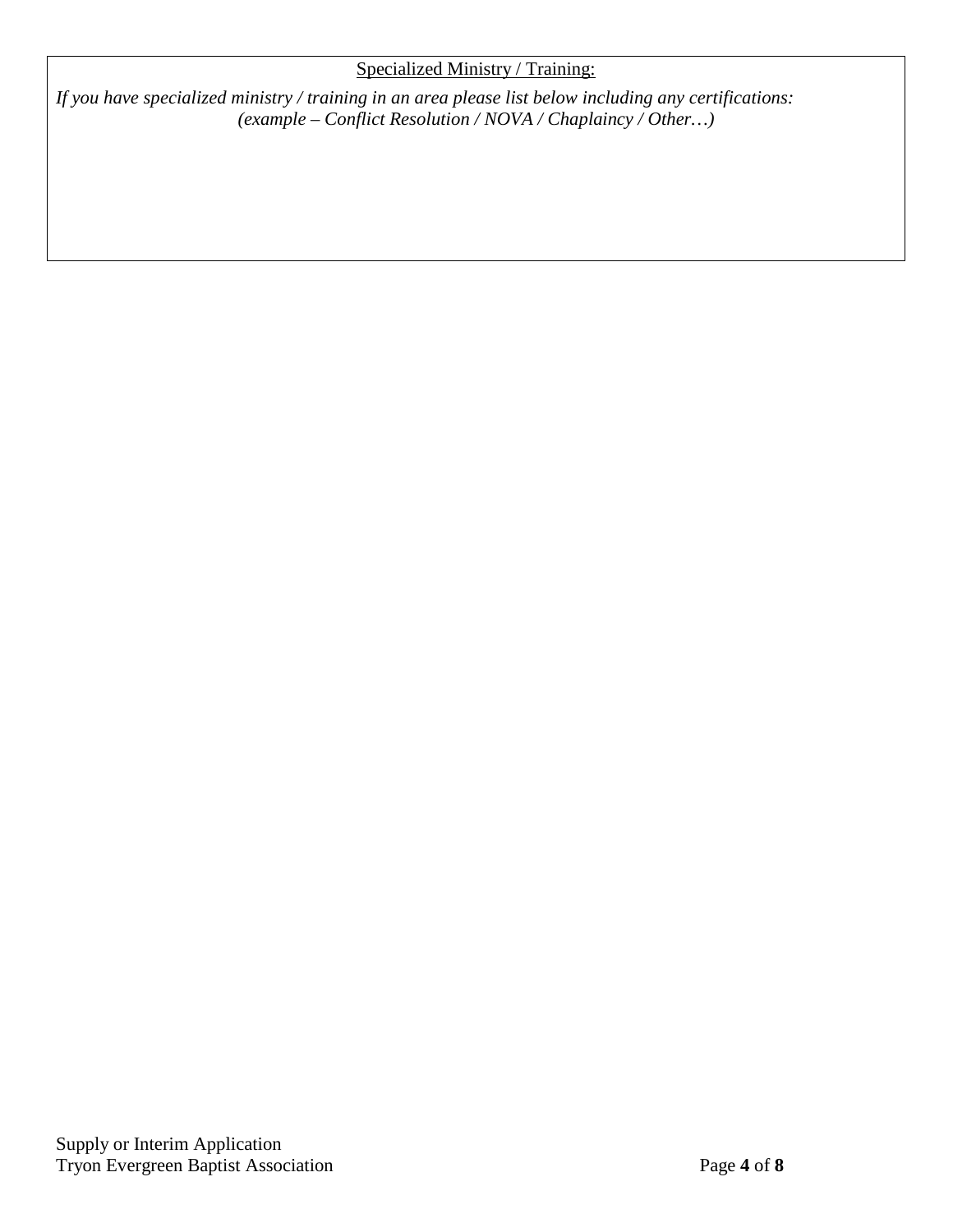### Specialized Ministry / Training:

*If you have specialized ministry / training in an area please list below including any certifications: (example – Conflict Resolution / NOVA / Chaplaincy / Other…)*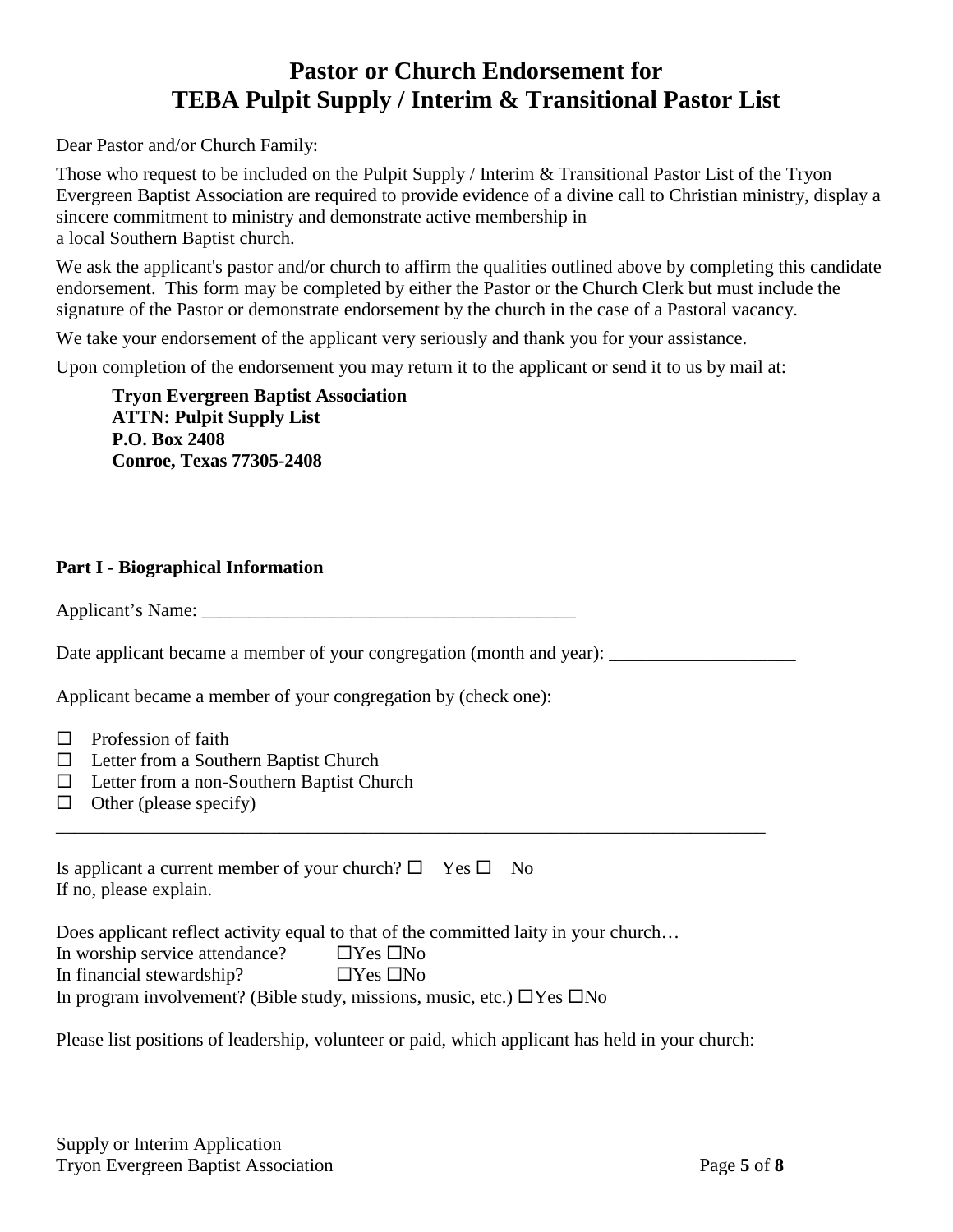### **Pastor or Church Endorsement for TEBA Pulpit Supply / Interim & Transitional Pastor List**

Dear Pastor and/or Church Family:

Those who request to be included on the Pulpit Supply / Interim & Transitional Pastor List of the Tryon Evergreen Baptist Association are required to provide evidence of a divine call to Christian ministry, display a sincere commitment to ministry and demonstrate active membership in a local Southern Baptist church.

We ask the applicant's pastor and/or church to affirm the qualities outlined above by completing this candidate endorsement. This form may be completed by either the Pastor or the Church Clerk but must include the signature of the Pastor or demonstrate endorsement by the church in the case of a Pastoral vacancy.

We take your endorsement of the applicant very seriously and thank you for your assistance.

Upon completion of the endorsement you may return it to the applicant or send it to us by mail at:

**Tryon Evergreen Baptist Association ATTN: Pulpit Supply List P.O. Box 2408 Conroe, Texas 77305-2408**

#### **Part I - Biographical Information**

Applicant's Name:

Date applicant became a member of your congregation (month and year):

Applicant became a member of your congregation by (check one):

- $\Box$  Profession of faith
- $\Box$  Letter from a Southern Baptist Church
- $\Box$  Letter from a non-Southern Baptist Church
- $\Box$  Other (please specify)

| Is applicant a current member of your church? $\square$ Yes $\square$ No |  |  |
|--------------------------------------------------------------------------|--|--|
| If no, please explain.                                                   |  |  |

|                                | Does applicant reflect activity equal to that of the committed laity in your church |
|--------------------------------|-------------------------------------------------------------------------------------|
| In worship service attendance? | $\Box$ Yes $\Box$ No                                                                |
| In financial stewardship?      | $\Box$ Yes $\Box$ No                                                                |
|                                | In program involvement? (Bible study, missions, music, etc.) $\Box$ Yes $\Box$ No   |

Please list positions of leadership, volunteer or paid, which applicant has held in your church:

\_\_\_\_\_\_\_\_\_\_\_\_\_\_\_\_\_\_\_\_\_\_\_\_\_\_\_\_\_\_\_\_\_\_\_\_\_\_\_\_\_\_\_\_\_\_\_\_\_\_\_\_\_\_\_\_\_\_\_\_\_\_\_\_\_\_\_\_\_\_\_\_\_\_\_\_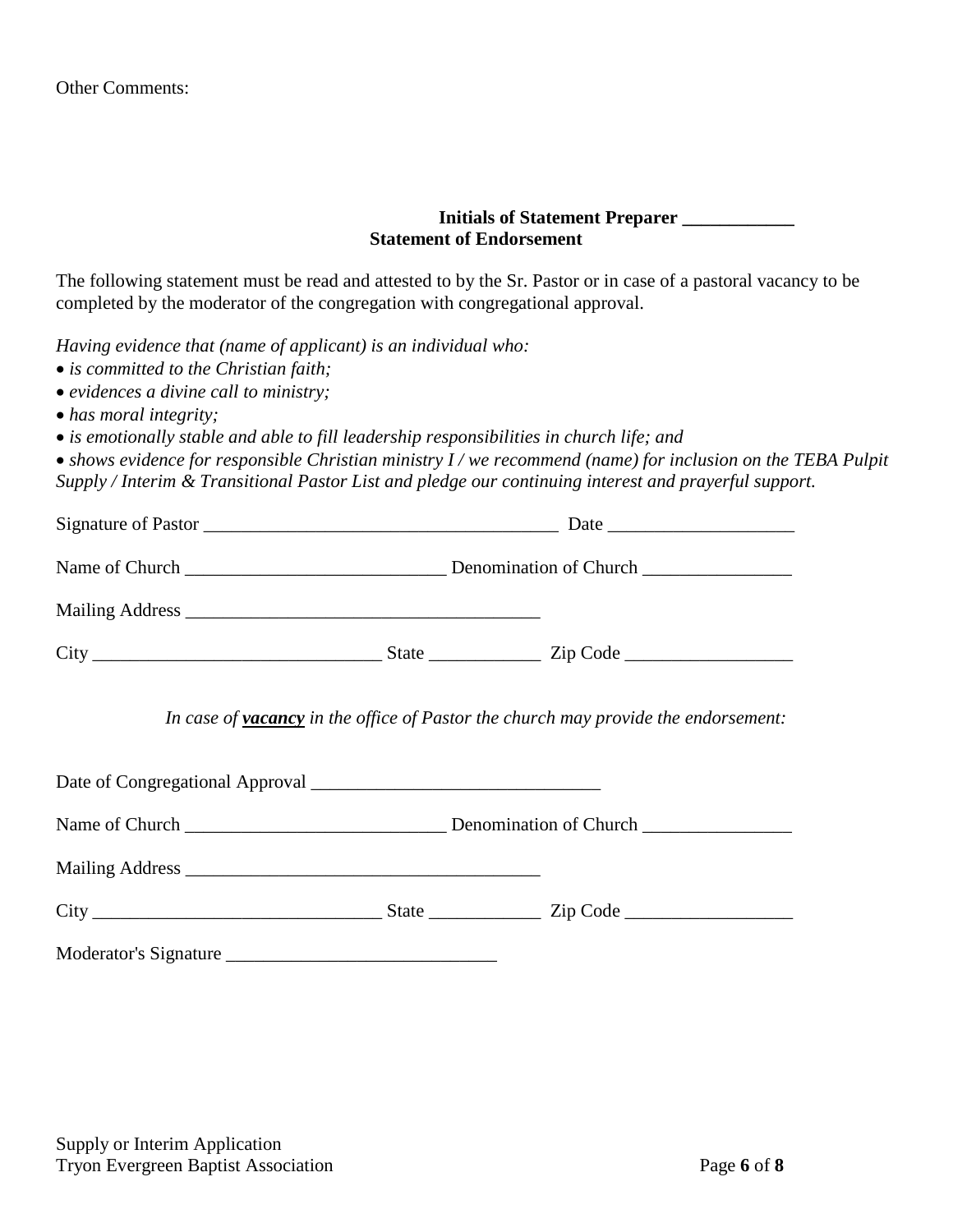#### **Initials of Statement Preparer \_\_\_\_\_\_\_\_\_\_\_\_ Statement of Endorsement**

The following statement must be read and attested to by the Sr. Pastor or in case of a pastoral vacancy to be completed by the moderator of the congregation with congregational approval.

*Having evidence that (name of applicant) is an individual who:*

- *is committed to the Christian faith;*
- *evidences a divine call to ministry;*
- *has moral integrity;*
- *is emotionally stable and able to fill leadership responsibilities in church life; and*

• *shows evidence for responsible Christian ministry I / we recommend (name) for inclusion on the TEBA Pulpit Supply / Interim & Transitional Pastor List and pledge our continuing interest and prayerful support.*

|  | In case of <b>vacancy</b> in the office of Pastor the church may provide the endorsement: |
|--|-------------------------------------------------------------------------------------------|
|  |                                                                                           |
|  |                                                                                           |
|  |                                                                                           |
|  |                                                                                           |
|  |                                                                                           |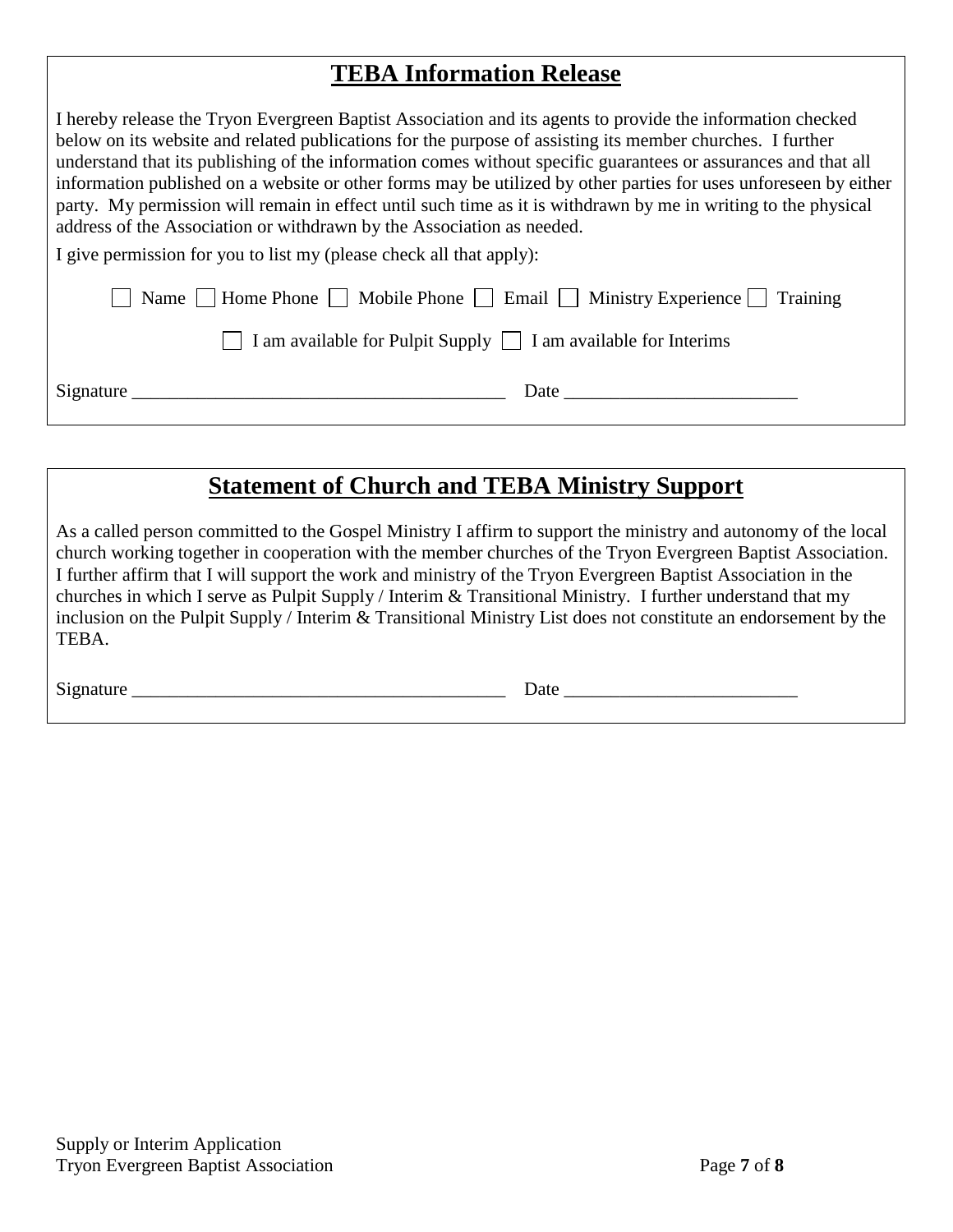### **TEBA Information Release**

| I hereby release the Tryon Evergreen Baptist Association and its agents to provide the information checked<br>below on its website and related publications for the purpose of assisting its member churches. I further<br>understand that its publishing of the information comes without specific guarantees or assurances and that all<br>information published on a website or other forms may be utilized by other parties for uses unforeseen by either<br>party. My permission will remain in effect until such time as it is withdrawn by me in writing to the physical<br>address of the Association or withdrawn by the Association as needed. |
|----------------------------------------------------------------------------------------------------------------------------------------------------------------------------------------------------------------------------------------------------------------------------------------------------------------------------------------------------------------------------------------------------------------------------------------------------------------------------------------------------------------------------------------------------------------------------------------------------------------------------------------------------------|
| I give permission for you to list my (please check all that apply):                                                                                                                                                                                                                                                                                                                                                                                                                                                                                                                                                                                      |
| Name $\Box$ Home Phone $\Box$ Mobile Phone $\Box$ Email $\Box$ Ministry Experience $\Box$ Training                                                                                                                                                                                                                                                                                                                                                                                                                                                                                                                                                       |
| I am available for Pulpit Supply $\Box$ I am available for Interims                                                                                                                                                                                                                                                                                                                                                                                                                                                                                                                                                                                      |
| Signature<br>Date                                                                                                                                                                                                                                                                                                                                                                                                                                                                                                                                                                                                                                        |

### **Statement of Church and TEBA Ministry Support**

As a called person committed to the Gospel Ministry I affirm to support the ministry and autonomy of the local church working together in cooperation with the member churches of the Tryon Evergreen Baptist Association. I further affirm that I will support the work and ministry of the Tryon Evergreen Baptist Association in the churches in which I serve as Pulpit Supply / Interim & Transitional Ministry. I further understand that my inclusion on the Pulpit Supply / Interim & Transitional Ministry List does not constitute an endorsement by the TEBA.

 $Signature$   $\qquad \qquad$   $Date$   $\qquad \qquad$   $Date$   $\qquad \qquad$   $Date$   $\qquad \qquad$   $Date$   $\qquad \qquad$   $\qquad \qquad$   $Date$   $\qquad \qquad$   $\qquad \qquad$   $\qquad \qquad$   $\qquad \qquad$   $\qquad \qquad$   $\qquad \qquad$   $\qquad \qquad$   $\qquad \qquad$   $\qquad \qquad$   $\qquad \qquad$   $\qquad \qquad$   $\qquad \qquad$   $\qquad \qquad$   $\qquad \qquad$   $\qquad \qquad$   $\qquad \qquad$